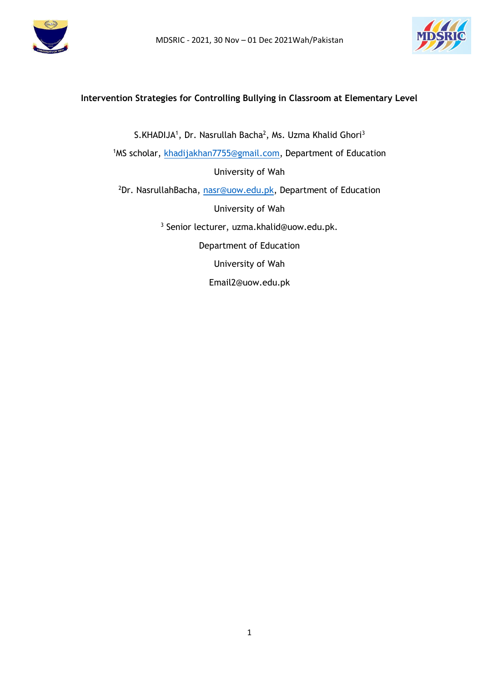



# **Intervention Strategies for Controlling Bullying in Classroom at Elementary Level**

S.KHADIJA<sup>1</sup>, Dr. Nasrullah Bacha<sup>2</sup>, Ms. Uzma Khalid Ghori<sup>3</sup> 1MS scholar, [khadijakhan7755@gmail.com,](mailto:khadijakhan7755@gmail.com) Department of Education University of Wah <sup>2</sup>Dr. NasrullahBacha, [nasr@uow.edu.pk,](mailto:nasr@uow.edu.pk) Department of Education University of Wah 3 Senior lecturer, uzma.khalid@uow.edu.pk. Department of Education University of Wah Email2@uow.edu.pk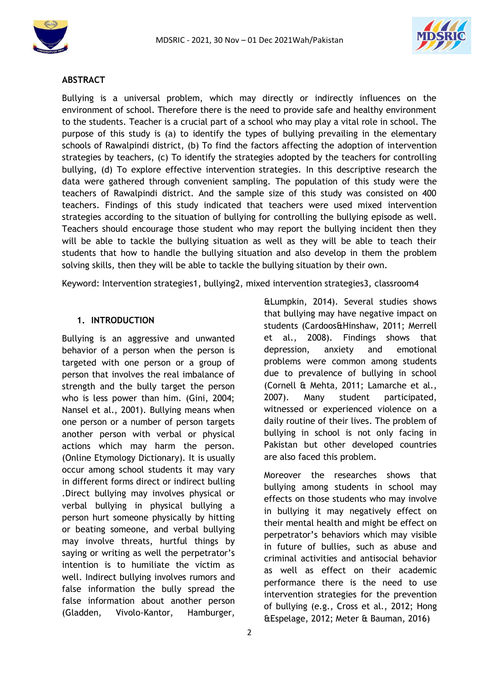



#### **ABSTRACT**

Bullying is a universal problem, which may directly or indirectly influences on the environment of school. Therefore there is the need to provide safe and healthy environment to the students. Teacher is a crucial part of a school who may play a vital role in school. The purpose of this study is (a) to identify the types of bullying prevailing in the elementary schools of Rawalpindi district, (b) To find the factors affecting the adoption of intervention strategies by teachers, (c) To identify the strategies adopted by the teachers for controlling bullying, (d) To explore effective intervention strategies. In this descriptive research the data were gathered through convenient sampling. The population of this study were the teachers of Rawalpindi district. And the sample size of this study was consisted on 400 teachers. Findings of this study indicated that teachers were used mixed intervention strategies according to the situation of bullying for controlling the bullying episode as well. Teachers should encourage those student who may report the bullying incident then they will be able to tackle the bullying situation as well as they will be able to teach their students that how to handle the bullying situation and also develop in them the problem solving skills, then they will be able to tackle the bullying situation by their own.

Keyword: Intervention strategies1, bullying2, mixed intervention strategies3, classroom4

#### **1. INTRODUCTION**

Bullying is an aggressive and unwanted behavior of a person when the person is targeted with one person or a group of person that involves the real imbalance of strength and the bully target the person who is less power than him. (Gini, 2004; Nansel et al., 2001). Bullying means when one person or a number of person targets another person with verbal or physical actions which may harm the person. (Online Etymology Dictionary). It is usually occur among school students it may vary in different forms direct or indirect bulling .Direct bullying may involves physical or verbal bullying in physical bullying a person hurt someone physically by hitting or beating someone, and verbal bullying may involve threats, hurtful things by saying or writing as well the perpetrator's intention is to humiliate the victim as well. Indirect bullying involves rumors and false information the bully spread the false information about another person (Gladden, Vivolo-Kantor, Hamburger,

&Lumpkin, 2014). Several studies shows that bullying may have negative impact on students (Cardoos&Hinshaw, 2011; Merrell et al., 2008). Findings shows that depression, anxiety and emotional problems were common among students due to prevalence of bullying in school (Cornell & Mehta, 2011; Lamarche et al., 2007). Many student participated, witnessed or experienced violence on a daily routine of their lives. The problem of bullying in school is not only facing in Pakistan but other developed countries are also faced this problem.

Moreover the researches shows that bullying among students in school may effects on those students who may involve in bullying it may negatively effect on their mental health and might be effect on perpetrator's behaviors which may visible in future of bullies, such as abuse and criminal activities and antisocial behavior as well as effect on their academic performance there is the need to use intervention strategies for the prevention of bullying (e.g., Cross et al., 2012; Hong &Espelage, 2012; Meter & Bauman, 2016)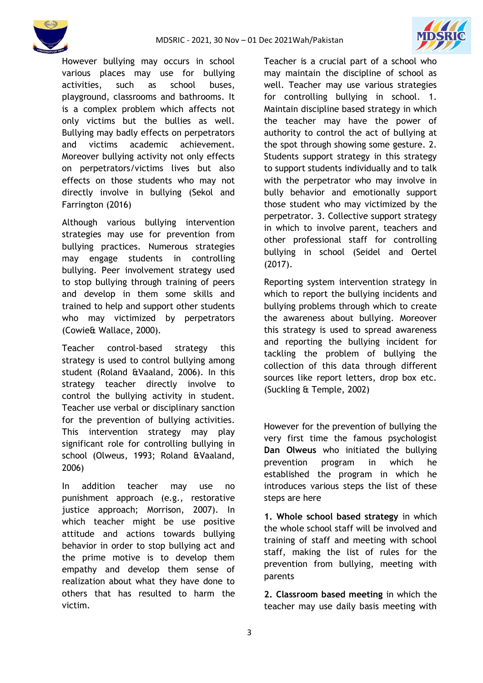



However bullying may occurs in school various places may use for bullying activities, such as school buses, playground, classrooms and bathrooms. It is a complex problem which affects not only victims but the bullies as well. Bullying may badly effects on perpetrators and victims academic achievement. Moreover bullying activity not only effects on perpetrators/victims lives but also effects on those students who may not directly involve in bullying (Sekol and Farrington (2016)

Although various bullying intervention strategies may use for prevention from bullying practices. Numerous strategies may engage students in controlling bullying. Peer involvement strategy used to stop bullying through training of peers and develop in them some skills and trained to help and support other students who may victimized by perpetrators (Cowie& Wallace, 2000).

Teacher control-based strategy this strategy is used to control bullying among student (Roland &Vaaland, 2006). In this strategy teacher directly involve to control the bullying activity in student. Teacher use verbal or disciplinary sanction for the prevention of bullying activities. This intervention strategy may play significant role for controlling bullying in school (Olweus, 1993; Roland &Vaaland, 2006)

In addition teacher may use no punishment approach (e.g., restorative justice approach; Morrison, 2007). In which teacher might be use positive attitude and actions towards bullying behavior in order to stop bullying act and the prime motive is to develop them empathy and develop them sense of realization about what they have done to others that has resulted to harm the victim.

Teacher is a crucial part of a school who may maintain the discipline of school as well. Teacher may use various strategies for controlling bullying in school. 1. Maintain discipline based strategy in which the teacher may have the power of authority to control the act of bullying at the spot through showing some gesture. 2. Students support strategy in this strategy to support students individually and to talk with the perpetrator who may involve in bully behavior and emotionally support those student who may victimized by the perpetrator. 3. Collective support strategy in which to involve parent, teachers and other professional staff for controlling bullying in school (Seidel and Oertel (2017).

Reporting system intervention strategy in which to report the bullying incidents and bullying problems through which to create the awareness about bullying. Moreover this strategy is used to spread awareness and reporting the bullying incident for tackling the problem of bullying the collection of this data through different sources like report letters, drop box etc. (Suckling & Temple, 2002)

However for the prevention of bullying the very first time the famous psychologist **Dan Olweus** who initiated the bullying prevention program in which he established the program in which he introduces various steps the list of these steps are here

**1. Whole school based strategy** in which the whole school staff will be involved and training of staff and meeting with school staff, making the list of rules for the prevention from bullying, meeting with parents

**2. Classroom based meeting** in which the teacher may use daily basis meeting with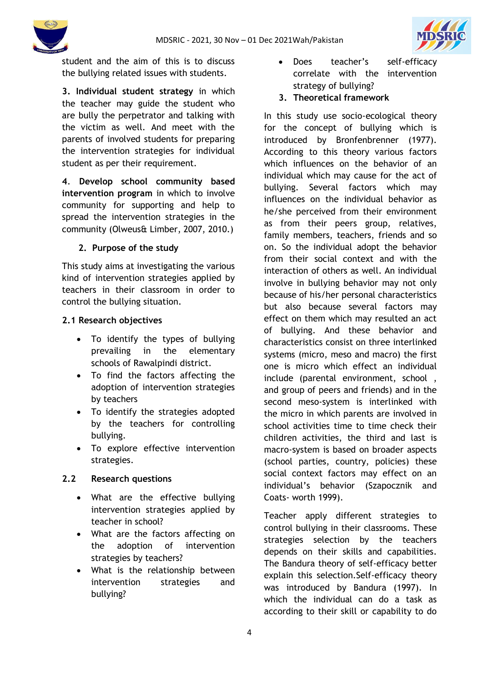



student and the aim of this is to discuss the bullying related issues with students.

**3. Individual student strategy** in which the teacher may guide the student who are bully the perpetrator and talking with the victim as well. And meet with the parents of involved students for preparing the intervention strategies for individual student as per their requirement.

**4**. **Develop school community based intervention program** in which to involve community for supporting and help to spread the intervention strategies in the community (Olweus& Limber, 2007, 2010.)

## **2. Purpose of the study**

This study aims at investigating the various kind of intervention strategies applied by teachers in their classroom in order to control the bullying situation.

#### **2.1 Research objectives**

- To identify the types of bullying prevailing in the elementary schools of Rawalpindi district.
- To find the factors affecting the adoption of intervention strategies by teachers
- To identify the strategies adopted by the teachers for controlling bullying.
- To explore effective intervention strategies.

## **2.2 Research questions**

- What are the effective bullying intervention strategies applied by teacher in school?
- What are the factors affecting on the adoption of intervention strategies by teachers?
- What is the relationship between intervention strategies and bullying?
- Does teacher's self-efficacy correlate with the intervention strategy of bullying?
- **3. Theoretical framework**

In this study use socio-ecological theory for the concept of bullying which is introduced by Bronfenbrenner (1977). According to this theory various factors which influences on the behavior of an individual which may cause for the act of bullying. Several factors which may influences on the individual behavior as he/she perceived from their environment as from their peers group, relatives, family members, teachers, friends and so on. So the individual adopt the behavior from their social context and with the interaction of others as well. An individual involve in bullying behavior may not only because of his/her personal characteristics but also because several factors may effect on them which may resulted an act of bullying. And these behavior and characteristics consist on three interlinked systems (micro, meso and macro) the first one is micro which effect an individual include (parental environment, school , and group of peers and friends) and in the second meso-system is interlinked with the micro in which parents are involved in school activities time to time check their children activities, the third and last is macro-system is based on broader aspects (school parties, country, policies) these social context factors may effect on an individual's behavior (Szapocznik and Coats- worth 1999).

Teacher apply different strategies to control bullying in their classrooms. These strategies selection by the teachers depends on their skills and capabilities. The Bandura theory of self-efficacy better explain this selection.Self-efficacy theory was introduced by Bandura (1997). In which the individual can do a task as according to their skill or capability to do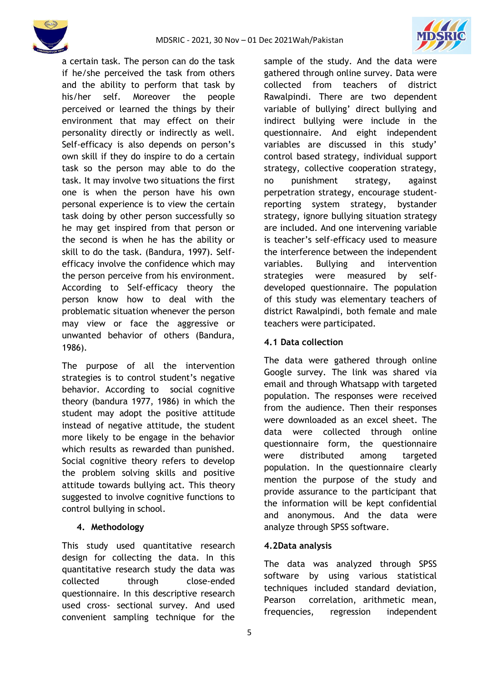

a certain task. The person can do the task if he/she perceived the task from others and the ability to perform that task by his/her self. Moreover the people perceived or learned the things by their environment that may effect on their personality directly or indirectly as well. Self-efficacy is also depends on person's own skill if they do inspire to do a certain task so the person may able to do the task. It may involve two situations the first one is when the person have his own personal experience is to view the certain task doing by other person successfully so he may get inspired from that person or the second is when he has the ability or skill to do the task. (Bandura, 1997). Selfefficacy involve the confidence which may the person perceive from his environment. According to Self-efficacy theory the person know how to deal with the problematic situation whenever the person may view or face the aggressive or unwanted behavior of others (Bandura, 1986).

The purpose of all the intervention strategies is to control student's negative behavior. According to social cognitive theory (bandura 1977, 1986) in which the student may adopt the positive attitude instead of negative attitude, the student more likely to be engage in the behavior which results as rewarded than punished. Social cognitive theory refers to develop the problem solving skills and positive attitude towards bullying act. This theory suggested to involve cognitive functions to control bullying in school.

## **4. Methodology**

This study used quantitative research design for collecting the data. In this quantitative research study the data was collected through close-ended questionnaire. In this descriptive research used cross- sectional survey. And used convenient sampling technique for the

sample of the study. And the data were gathered through online survey. Data were collected from teachers of district Rawalpindi. There are two dependent variable of bullying' direct bullying and indirect bullying were include in the questionnaire. And eight independent variables are discussed in this study' control based strategy, individual support strategy, collective cooperation strategy, no punishment strategy, against perpetration strategy, encourage studentreporting system strategy, bystander strategy, ignore bullying situation strategy are included. And one intervening variable is teacher's self-efficacy used to measure the interference between the independent variables. Bullying and intervention strategies were measured by selfdeveloped questionnaire. The population of this study was elementary teachers of district Rawalpindi, both female and male teachers were participated.

## **4.1 Data collection**

The data were gathered through online Google survey. The link was shared via email and through Whatsapp with targeted population. The responses were received from the audience. Then their responses were downloaded as an excel sheet. The data were collected through online questionnaire form, the questionnaire were distributed among targeted population. In the questionnaire clearly mention the purpose of the study and provide assurance to the participant that the information will be kept confidential and anonymous. And the data were analyze through SPSS software.

## **4.2Data analysis**

The data was analyzed through SPSS software by using various statistical techniques included standard deviation, Pearson correlation, arithmetic mean, frequencies, regression independent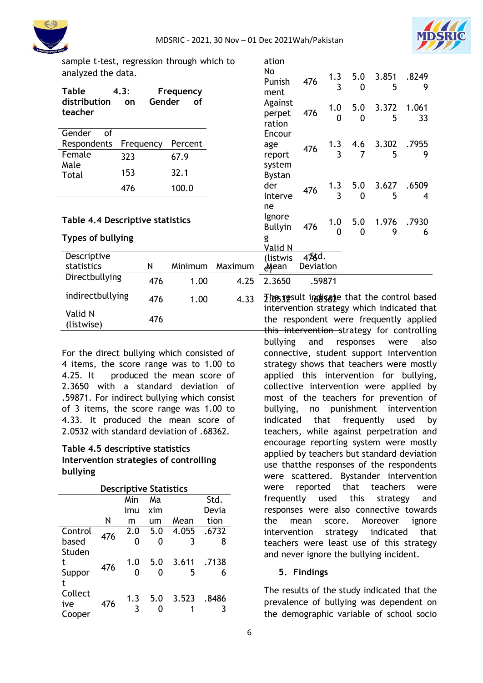ation



sample t-test, regression through which to analyzed the data.

| analyzed the data.               |           |           |         | No                             |                    | 1.3                | 5.0             | 3.851      | .8249       |
|----------------------------------|-----------|-----------|---------|--------------------------------|--------------------|--------------------|-----------------|------------|-------------|
| <b>Table</b><br>4.3:             |           | Frequency |         | Punish<br>ment                 | 476                | 3                  | $\Omega$        | 5          | 9           |
| distribution<br>on<br>teacher    | Gender    | of        |         | Against<br>perpet<br>ration    | 476                | 1.0<br>0           | 5.0<br>$\Omega$ | 3.372<br>5 | 1.061<br>33 |
| of<br>Gender                     |           |           |         | Encour                         |                    |                    |                 |            |             |
| Respondents                      | Frequency | Percent   |         | age                            | 476                | 1.3                | 4.6             | 3.302      | .7955       |
| Female<br>323                    |           | 67.9      |         | report                         |                    | 3                  |                 | 5          | 9           |
| Male<br>153<br>Total             |           | 32.1      |         | system<br><b>Bystan</b>        |                    |                    |                 |            |             |
| 476                              |           | 100.0     |         | der                            | 476                | 1.3                | 5.0             | 3.627      | .6509       |
|                                  |           |           |         | Interve                        |                    | 3                  | $\Omega$        | 5          | 4           |
| Table 4.4 Descriptive statistics |           |           |         | ne<br>Ignore<br><b>Bullyin</b> | 476                | 1.0<br>$\mathbf 0$ | 5.0<br>$\Omega$ | 1.976<br>9 | .7930<br>6  |
| <b>Types of bullying</b>         |           |           |         | g<br>Valid N                   |                    |                    |                 |            |             |
| Descriptive<br>statistics        | N         | Minimum   | Maximum | (listwis<br>⊿Mean              | 456d.<br>Deviation |                    |                 |            |             |
| Directbullying                   | 476       | 1.00      | 4.25    | 2.3650                         |                    | .59871             |                 |            |             |

|                       | 41D | 1.WU | 4. <i>L</i> .JOJU<br>.17011                                                                                                                       |
|-----------------------|-----|------|---------------------------------------------------------------------------------------------------------------------------------------------------|
| indirectbullying      | 476 | 1.00 | 4.33 The specific indigate that the control based                                                                                                 |
| Valid N<br>(listwise) | 476 |      | intervention strategy which indicated that<br>the respondent were frequently applied<br>aliti taasimaan satti maanaan sanaa fi maanaan satti taan |

For the direct bullying which consisted of 4 items, the score range was to 1.00 to 4.25. It produced the mean score of 2.3650 with a standard deviation of .59871. For indirect bullying which consist of 3 items, the score range was 1.00 to 4.33. It produced the mean score of 2.0532 with standard deviation of .68362.

#### **Table 4.5 descriptive statistics Intervention strategies of controlling bullying**

| <b>Descriptive Statistics</b> |     |     |     |       |       |  |
|-------------------------------|-----|-----|-----|-------|-------|--|
|                               |     | Min | Mа  |       | Std.  |  |
|                               |     | imu | xim |       | Devia |  |
|                               | Ν   | m   | um  | Mean  | tion  |  |
| Control                       | 476 | 2.0 | 5.0 | 4.055 | .6732 |  |
| based                         |     | O   | 0   | 3     | 8     |  |
| Studen                        |     |     |     |       |       |  |
| t                             |     | 1.0 | 5.0 | 3.611 | .7138 |  |
| Suppor                        | 476 |     |     | 5     |       |  |
| t                             |     |     |     |       |       |  |
| Collect                       |     |     |     |       |       |  |
| ive                           | 476 | 1.3 | 5.0 | 3.523 | .8486 |  |
| Cooper                        |     |     |     |       |       |  |

intervention strategy which indicated that the respondent were frequently applied this intervention strategy for controlling bullying and responses were also connective, student support intervention strategy shows that teachers were mostly applied this intervention for bullying, collective intervention were applied by most of the teachers for prevention of bullying, no punishment intervention indicated that frequently used by teachers, while against perpetration and encourage reporting system were mostly applied by teachers but standard deviation use thatthe responses of the respondents were scattered. Bystander intervention were reported that teachers were frequently used this strategy and responses were also connective towards the mean score. Moreover ignore intervention strategy indicated that teachers were least use of this strategy and never ignore the bullying incident.

## **5. Findings**

The results of the study indicated that the prevalence of bullying was dependent on the demographic variable of school socio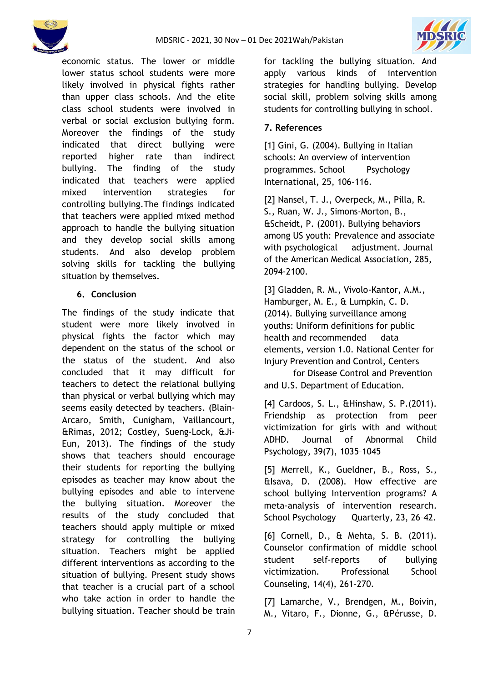



economic status. The lower or middle lower status school students were more likely involved in physical fights rather than upper class schools. And the elite class school students were involved in verbal or social exclusion bullying form. Moreover the findings of the study indicated that direct bullying were reported higher rate than indirect bullying. The finding of the study indicated that teachers were applied mixed intervention strategies for controlling bullying.The findings indicated that teachers were applied mixed method approach to handle the bullying situation and they develop social skills among students. And also develop problem solving skills for tackling the bullying situation by themselves.

#### **6. Conclusion**

The findings of the study indicate that student were more likely involved in physical fights the factor which may dependent on the status of the school or the status of the student. And also concluded that it may difficult for teachers to detect the relational bullying than physical or verbal bullying which may seems easily detected by teachers. (Blain-Arcaro, Smith, Cunigham, Vaillancourt, &Rimas, 2012; Costley, Sueng-Lock, &Ji-Eun, 2013). The findings of the study shows that teachers should encourage their students for reporting the bullying episodes as teacher may know about the bullying episodes and able to intervene the bullying situation. Moreover the results of the study concluded that teachers should apply multiple or mixed strategy for controlling the bullying situation. Teachers might be applied different interventions as according to the situation of bullying. Present study shows that teacher is a crucial part of a school who take action in order to handle the bullying situation. Teacher should be train

for tackling the bullying situation. And apply various kinds of intervention strategies for handling bullying. Develop social skill, problem solving skills among students for controlling bullying in school.

## **7. References**

[1] Gini, G. (2004). Bullying in Italian schools: An overview of intervention programmes. School Psychology International, 25, 106-116.

[2] Nansel, T. J., Overpeck, M., Pilla, R. S., Ruan, W. J., Simons-Morton, B., &Scheidt, P. (2001). Bullying behaviors among US youth: Prevalence and associate with psychological adjustment. Journal of the American Medical Association, 285, 2094-2100.

[3] Gladden, R. M., Vivolo-Kantor, A.M., Hamburger, M. E., & Lumpkin, C. D. (2014). Bullying surveillance among youths: Uniform definitions for public health and recommended data elements, version 1.0. National Center for Injury Prevention and Control, Centers

for Disease Control and Prevention and U.S. Department of Education.

[4] Cardoos, S. L., &Hinshaw, S. P.(2011). Friendship as protection from peer victimization for girls with and without ADHD. Journal of Abnormal Child Psychology, 39(7), 1035–1045

[5] Merrell, K., Gueldner, B., Ross, S., &Isava, D. (2008). How effective are school bullying Intervention programs? A meta-analysis of intervention research. School Psychology Quarterly, 23, 26–42.

[6] Cornell, D., & Mehta, S. B. (2011). Counselor confirmation of middle school student self-reports of bullying victimization. Professional School Counseling, 14(4), 261–270.

[7] Lamarche, V., Brendgen, M., Boivin, M., Vitaro, F., Dionne, G., &Pérusse, D.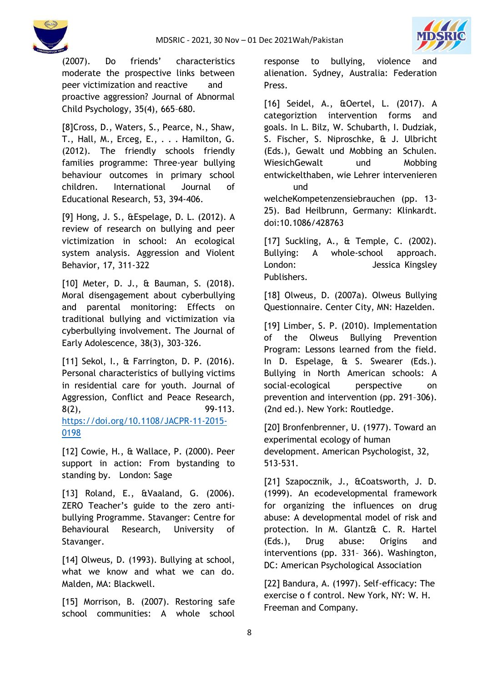



(2007). Do friends' characteristics moderate the prospective links between peer victimization and reactive and proactive aggression? Journal of Abnormal Child Psychology, 35(4), 665–680.

[8]Cross, D., Waters, S., Pearce, N., Shaw, T., Hall, M., Erceg, E., . . . Hamilton, G. (2012). The friendly schools friendly families programme: Three-year bullying behaviour outcomes in primary school children. International Journal of Educational Research, 53, 394-406.

[9] Hong, J. S., &Espelage, D. L. (2012). A review of research on bullying and peer victimization in school: An ecological system analysis. Aggression and Violent Behavior, 17, 311-322

[10] Meter, D. J., & Bauman, S. (2018). Moral disengagement about cyberbullying and parental monitoring: Effects on traditional bullying and victimization via cyberbullying involvement. The Journal of Early Adolescence, 38(3), 303-326.

[11] Sekol, I., & Farrington, D. P. (2016). Personal characteristics of bullying victims in residential care for youth. Journal of Aggression, Conflict and Peace Research,  $8(2)$ , 99-113. [https://doi.org/10.1108/JACPR-11-2015-](https://doi.org/10.1108/JACPR-11-2015-0198) [0198](https://doi.org/10.1108/JACPR-11-2015-0198)

[12] Cowie, H., & Wallace, P. (2000). Peer support in action: From bystanding to standing by. London: Sage

[13] Roland, E., &Vaaland, G. (2006). ZERO Teacher's guide to the zero antibullying Programme. Stavanger: Centre for Behavioural Research, University of Stavanger.

[14] Olweus, D. (1993). Bullying at school, what we know and what we can do. Malden, MA: Blackwell.

[15] Morrison, B. (2007). Restoring safe school communities: A whole school

response to bullying, violence and alienation. Sydney, Australia: Federation Press.

[16] Seidel, A., &Oertel, L. (2017). A categoriztion intervention forms and goals. In L. Bilz, W. Schubarth, I. Dudziak, S. Fischer, S. Niproschke, & J. Ulbricht (Eds.), Gewalt und Mobbing an Schulen. WiesichGewalt und Mobbing entwickelthaben, wie Lehrer intervenieren und

welcheKompetenzensiebrauchen (pp. 13- 25). Bad Heilbrunn, Germany: Klinkardt. doi:10.1086/428763

[17] Suckling, A., & Temple, C. (2002). Bullying: A whole-school approach. London: Jessica Kingsley Publishers.

[18] Olweus, D. (2007a). Olweus Bullying Questionnaire. Center City, MN: Hazelden.

[19] Limber, S. P. (2010). Implementation of the Olweus Bullying Prevention Program: Lessons learned from the field. In D. Espelage, & S. Swearer (Eds.). Bullying in North American schools: A social-ecological perspective on prevention and intervention (pp. 291–306). (2nd ed.). New York: Routledge.

[20] Bronfenbrenner, U. (1977). Toward an experimental ecology of human development. American Psychologist, 32, 513-531.

[21] Szapocznik, J., &Coatsworth, J. D. (1999). An ecodevelopmental framework for organizing the influences on drug abuse: A developmental model of risk and protection. In M. Glantz& C. R. Hartel (Eds.), Drug abuse: Origins and interventions (pp. 331– 366). Washington, DC: American Psychological Association

[22] Bandura, A. (1997). Self-efficacy: The exercise o f control. New York, NY: W. H. Freeman and Company.